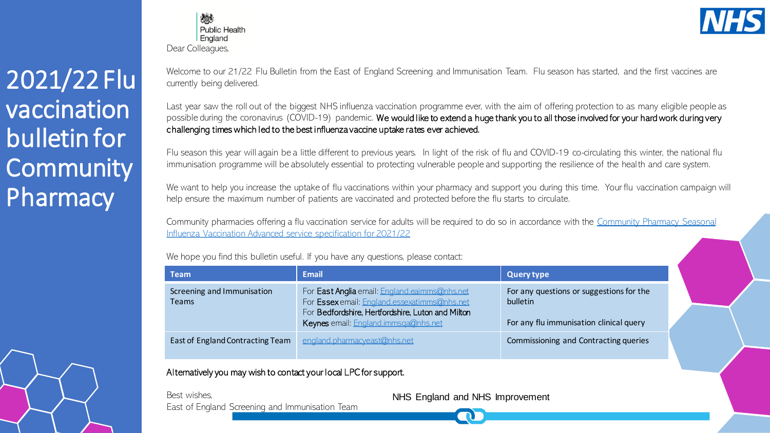2021/22 Flu vaccination bulletin for **Community Pharmacy** 



炒 Public Health England Dear Colleagues,

Welcome to our 21/22 Flu Bulletin from the East of England Screening and Immunisation Team. Flu season has started, and the first vaccines are currently being delivered.

Last year saw the roll out of the biggest NHS influenza vaccination programme ever, with the aim of offering protection to as many eligible people as possible during the coronavirus (COVID-19) pandemic. We would like to extend a huge thank you to all those involved for your hard work during very challenging times which led to the best influenza vaccine uptake rates ever achieved.

Flu season this year will again be a little different to previous years. In light of the risk of flu and COVID-19 co-circulating this winter, the national flu immunisation programme will be absolutely essential to protecting vulnerable people and supporting the resilience of the health and care system.

We want to help you increase the uptake of flu vaccinations within your pharmacy and support you during this time. Your flu vaccination campaign will help ensure the maximum number of patients are vaccinated and protected before the flu starts to circulate.

[Community pharmacies offering a flu vaccination service for adults will be required to do so in accordance with the Community Pharmacy Seasonal](https://www.england.nhs.uk/publication/community-pharmacy-seasonal-influenza-vaccine-service/)  Influenza Vaccination Advanced service specification for 2021/22

We hope you find this bulletin useful. If you have any questions, please contact:

| Team                                                                                                            | <b>Email</b>                                                                                                                                                                               | Query type                                                                                             |
|-----------------------------------------------------------------------------------------------------------------|--------------------------------------------------------------------------------------------------------------------------------------------------------------------------------------------|--------------------------------------------------------------------------------------------------------|
| Screening and Immunisation<br><b>Teams</b>                                                                      | For East Anglia email: England.eaimms@nhs.net<br>For Essex email: England.essexatimms@nhs.net<br>For Bedfordshire, Hertfordshire, Luton and Milton<br>Keynes email: England.immsqa@nhs.net | For any questions or suggestions for the<br><b>bulletin</b><br>For any flu immunisation clinical query |
| East of England Contracting Team                                                                                | england.pharmacyeast@nhs.net                                                                                                                                                               | Commissioning and Contracting queries                                                                  |
| the contract of the contract of the contract of the contract of the contract of the contract of the contract of |                                                                                                                                                                                            |                                                                                                        |

Alternatively you may wish to contact your local LPC for support.

Best wishes, East of England Screening and Immunisation Team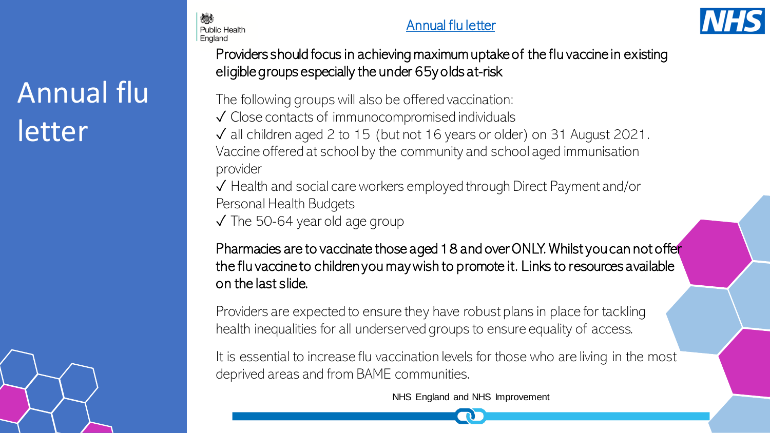# Annual flu letter

燃え

**Public Health** England





Providers should focus in achieving maximum uptake of the flu vaccine in existing eligible groups especially the under 65y olds at-risk

The following groups will also be offered vaccination: ✓ Close contacts of immunocompromised individuals ✓ all children aged 2 to 15 (but not 16 years or older) on 31 August 2021. Vaccine offered at school by the community and school aged immunisation provider

✓ Health and social care workers employed through Direct Payment and/or Personal Health Budgets

✓ The 50-64 year old age group

Pharmacies are to vaccinate those aged 18 and over ONLY. Whilst you can not offer the flu vaccine to children you may wish to promote it. Links to resources available on the last slide.

Providers are expected to ensure they have robust plans in place for tackling health inequalities for all underserved groups to ensure equality of access.

It is essential to increase flu vaccination levels for those who are living in the most deprived areas and from BAME communities.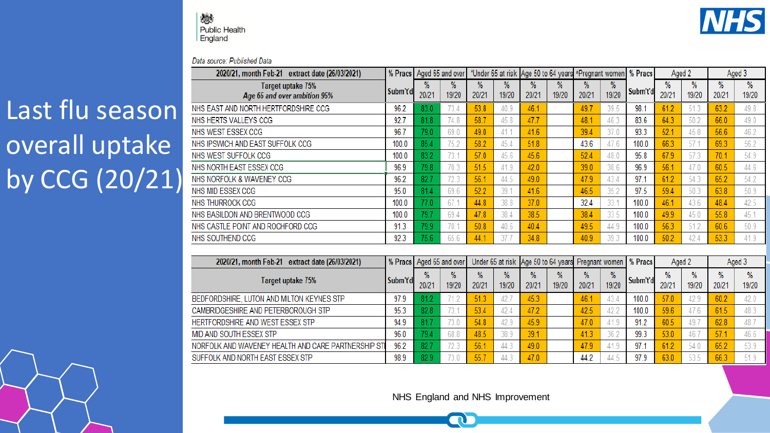燃 **Public Health** England



#### Data source: Published Data

## Last flu season overall uptake by CCG (20/21)

| 2020/21, month Feb-21 extract date (26/03/2021)    |                                                                                                                    | % Pracs Aged 65 and over |            |               |            |               | *Under 65 at risk Age 50 to 64 years ^Pregnant women |            |            | % Pracs  | Aged 2     |            |            | Aged 3     |
|----------------------------------------------------|--------------------------------------------------------------------------------------------------------------------|--------------------------|------------|---------------|------------|---------------|------------------------------------------------------|------------|------------|----------|------------|------------|------------|------------|
| Target uptake 75%<br>Age 65 and over ambition 95%  | Subm't'd                                                                                                           | %<br>20/21               | ℅<br>19/20 | $\%$<br>20/21 | %<br>19/20 | %<br>20/21    | %<br>19/20                                           | %<br>20/21 | %<br>19/20 | Subm't'd | %<br>20/21 | %<br>19/20 | %<br>20/21 | %<br>19/20 |
| NHS EAST AND NORTH HERTFORDSHIRE CCG               | 96.2                                                                                                               | 83.0                     | 73.4       | 53.8          | 40.9       | 46.1          |                                                      | 49.7       | 39.5       | 98.1     | 61.2       | 51.3       | 63.2       | 49.8       |
| NHS HERTS VALLEYS CCG                              | 92.7                                                                                                               | 81.8                     | 74.8       | 58.7          | 45.8       | 47.7          |                                                      | 48.1       | 46.3       | 83.6     | 64.3       | 50.2       | 66.0       | 49.0       |
| NHS WEST ESSEX CCG                                 | 96.7                                                                                                               | 79.0                     | 69.0       | 49.0          | 41.1       | 41.6          |                                                      | 39.4       | 37.0       | 93.3     | 52.1       | 45.8       | 56.6       | 46.2       |
| NHS IPSWICH AND EAST SUFFOLK CCG                   | 100.0                                                                                                              | 85.4                     | 75.2       | 58.2          | 45.4       | 51.8          |                                                      | 43.6       | 47.6       | 100.0    | 66.3       | 57.1       | 69.3       | 56.2       |
| NHS WEST SUFFOLK CCG                               | 100.0                                                                                                              | 83.2                     | 73.1       | 57.0          | 45.6       | 45.6          |                                                      | 52.4       | 48.0       | 95.8     | 67.9       | 57.3       | 70.1       | 54.9       |
| NHS NORTH EAST ESSEX CCG                           | 96.9                                                                                                               | 79.8                     | 70.3       | 51.5          | 41.9       | 42.0          |                                                      | 39.0       | 38.6       | 96.9     | 56.1       | 47.0       | 60.5       | 44.6       |
| NHS NORFOLK & WAVENEY CCG                          | 96.2                                                                                                               | 82.7                     | 72.3       | 56.1          | 44.5       | 49.0          |                                                      | 47.9       | 43.4       | 97.1     | 61.2       | 54.3       | 65.2       | 54.2       |
| NHS MID ESSEX CCG                                  | 95.0                                                                                                               | 81.4                     | 69.6       | 52.2          | 39.1       | 41.6          |                                                      | 46.5       | 35.2       | 97.5     | 59.4       | 50.3       | 63.8       | 50.9       |
| NHS THURROCK CCG                                   | 100.0                                                                                                              | 77.0                     | 67.1       | 44.8          | 38.8       | 37.0          |                                                      | 32.4       | 33.1       | 100.0    | 46.1       | 43.6       | 48.4       | 42.5       |
| NHS BASILDON AND BRENTWOOD CCG                     | 100.0                                                                                                              | 79.7                     | 69.4       | 47.8          | 38.4       | 38.5          |                                                      | 38.4       | 33.5       | 100.0    | 49.9       | 45.0       | 55.8       | 45.1       |
| NHS CASTLE POINT AND ROCHFORD CCG                  | 91.3                                                                                                               | 79.9                     | 70.7       | 50.8          | 40.6       | 40.4          |                                                      | 49.5       | 44.9       | 100.0    | 56.3       | 51.2       | 60.6       | 50.9       |
| NHS SOUTHEND CCG                                   | 92.3                                                                                                               | 75.6                     | 65.6       | 44.1          | 37.7       | 34.8          |                                                      | 40.9       | 39.3       | 100.0    | 50.2       | 42.4       | 53.3       | 41.9       |
| 2020/21, month Feb-21 extract date (26/03/2021)    | Under 65 at risk<br>Age 50 to 64 years Pregnant women<br>% Pracs<br>% Pracs   Aged 65 and over<br>Aged 2<br>Aged 3 |                          |            |               |            |               |                                                      |            |            |          |            |            |            |            |
| Target uptake 75%                                  | Subm't'd                                                                                                           | %<br>20/21               | %<br>19/20 | %<br>20/21    | %<br>19/20 | $\%$<br>20/21 | %<br>19/20                                           | %<br>20/21 | %<br>19/20 | Subm't'd | %<br>20/21 | %<br>19/20 | %<br>20/21 | %<br>19/20 |
| BEDFORDSHIRE, LUTON AND MILTON KEYNES STP          | 97.9                                                                                                               | 81.2                     | 71.2       | 51.3          | 42.7       | 45.3          |                                                      | 46.1       | 43.4       | 100.0    | 57.0       | 42.9       | 60.2       | 42.0       |
| CAMBRIDGESHIRE AND PETERBOROUGH STP                | 95.3                                                                                                               | 82.8                     | 73.1       | 53.4          | 42.4       | 47.2          |                                                      | 42.5       | 42.2       | 100.0    | 59.6       | 47.6       | 61.5       | 48.3       |
| HERTFORDSHIRE AND WEST ESSEX STP                   | 94.9                                                                                                               | 81.7                     | 73.0       | 54.8          | 42.9       | 45.9          |                                                      | 47.0       | 41.9       | 91.2     | 60.5       | 49.7       | 62.8       | 48.7       |
| MID AND SOUTH ESSEX STP                            | 96.0                                                                                                               | 79.4                     | 68.8       | 48.5          | 38.9       | 39.1          |                                                      | 41.3       | 36.2       | 99.3     | 53.0       | 46.7       | 57.1       | 46.6       |
| NORFOLK AND WAVENEY HEALTH AND CARE PARTNERSHIP ST | 96.2                                                                                                               | 82.7                     | 72.3       | 56.1          | 44.3       | 49.0          |                                                      | 47.9       | 41.9       | 97.1     | 61.2       | 54.0       | 65.2       | 53.9       |
| SUFFOLK AND NORTH EAST ESSEX STP                   | 98.9                                                                                                               | 82.9                     | 73.0       | 55.7          | 44.3       | 47.0          |                                                      | 44.2       | 44.5       | 97.9     | 63.0       | 53.5       | 66.3       | 51.9       |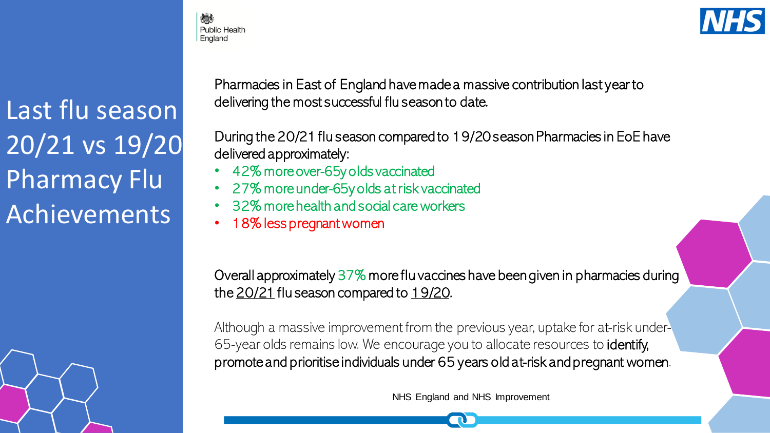人员 **Public Health** England

Last flu season 20/21 vs 19/20 Pharmacy Flu Achievements

Pharmacies in East of England have made a massive contribution last year to delivering the most successful flu season to date.

During the 20/21 flu season compared to 19/20 season Pharmacies in EoE have delivered approximately:

- 42% more over-65y olds vaccinated
- 27% more under-65y olds at risk vaccinated
- 32% more health and social care workers
- 18% less pregnant women

Overall approximately 37% more flu vaccines have been given in pharmacies during the 20/21 flu season compared to 19/20.

Although a massive improvement from the previous year, uptake for at-risk under-65-year olds remains low. We encourage you to allocate resources to identify, promote and prioritise individuals under 65 years old at-risk and pregnant women.

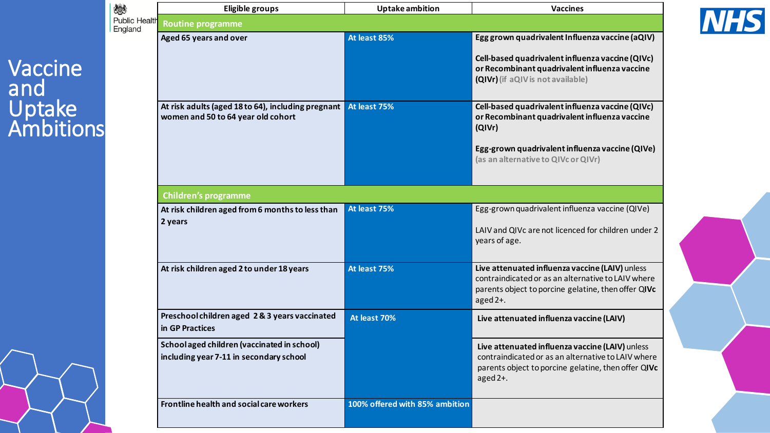### Vaccine and Uptake Ambitions

| 燃                               | <b>Eligible groups</b>                                                                   | <b>Uptake ambition</b>         | <b>Vaccines</b>                                                                                                                                                                                       |  |  |  |  |  |  |
|---------------------------------|------------------------------------------------------------------------------------------|--------------------------------|-------------------------------------------------------------------------------------------------------------------------------------------------------------------------------------------------------|--|--|--|--|--|--|
| <b>Public Health</b><br>England | <b>Routine programme</b>                                                                 |                                |                                                                                                                                                                                                       |  |  |  |  |  |  |
|                                 | Aged 65 years and over                                                                   | At least 85%                   | Egg grown quadrivalent Influenza vaccine (aQIV)<br>Cell-based quadrivalent influenza vaccine (QIVc)<br>or Recombinant quadrivalent influenza vaccine<br>(QIVr) (if aQIV is not available)             |  |  |  |  |  |  |
|                                 | At risk adults (aged 18 to 64), including pregnant<br>women and 50 to 64 year old cohort | At least 75%                   | Cell-based quadrivalent influenza vaccine (QIVc)<br>or Recombinant quadrivalent influenza vaccine<br>(QIVr)<br>Egg-grown quadrivalent influenza vaccine (QIVe)<br>(as an alternative to QIVc or QIVr) |  |  |  |  |  |  |
|                                 | <b>Children's programme</b>                                                              |                                |                                                                                                                                                                                                       |  |  |  |  |  |  |
|                                 | At risk children aged from 6 months to less than<br>2 years                              | At least 75%                   | Egg-grown quadrivalent influenza vaccine (QIVe)<br>LAIV and QIVc are not licenced for children under 2<br>years of age.                                                                               |  |  |  |  |  |  |
|                                 | At risk children aged 2 to under 18 years                                                | At least 75%                   | Live attenuated influenza vaccine (LAIV) unless<br>contraindicated or as an alternative to LAIV where<br>parents object to porcine gelatine, then offer QIVc<br>aged $2+$ .                           |  |  |  |  |  |  |
|                                 | Preschool children aged 2&3 years vaccinated<br>in GP Practices                          | At least 70%                   | Live attenuated influenza vaccine (LAIV)                                                                                                                                                              |  |  |  |  |  |  |
|                                 | School aged children (vaccinated in school)<br>including year 7-11 in secondary school   |                                | Live attenuated influenza vaccine (LAIV) unless<br>contraindicated or as an alternative to LAIV where<br>parents object to porcine gelatine, then offer QIVc<br>aged $2+$ .                           |  |  |  |  |  |  |
|                                 | Frontline health and social care workers                                                 | 100% offered with 85% ambition |                                                                                                                                                                                                       |  |  |  |  |  |  |

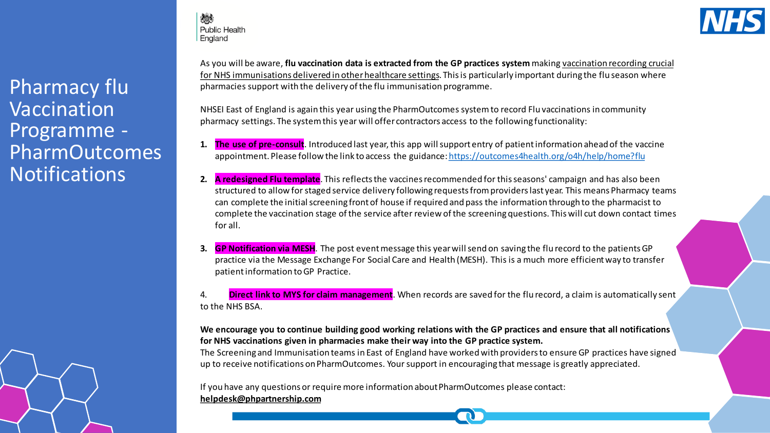Pharmacy flu Vaccination Programme - PharmOutcomes **Notifications** 

炒 **Public Health** England



As you will be aware, **flu vaccination data is extracted from the GP practices system** making vaccination recording crucial for NHS immunisations delivered in other healthcare settings. This is particularly important during the flu season where pharmacies support with the delivery of the flu immunisation programme.

NHSEI East of England is again this year using the PharmOutcomessystem to record Flu vaccinations in community pharmacy settings. The system this year will offer contractors access to the following functionality:

- **1. The use of pre-consult**. Introduced last year, this app will support entry of patient information ahead of the vaccine appointment. Please follow the link to access the guidance:<https://outcomes4health.org/o4h/help/home?flu>
- **2. A redesigned Flu template**. This reflects the vaccines recommended for this seasons' campaign and has also been structured to allow for staged service delivery following requests from providers last year. This means Pharmacy teams can complete the initial screening front of house if required and pass the information through to the pharmacist to complete the vaccination stage of the service after review of the screening questions. This will cut down contact times for all.
- **3. GP Notification via MESH**. The post event message this year will send on saving the flu record to the patients GP practice via the Message Exchange For Social Care and Health (MESH). This is a much more efficient way to transfer patient information to GP Practice.

4. **Direct link to MYS for claim management**. When records are saved for the flu record, a claim is automatically sent to the NHS BSA.

#### **We encourage you to continue building good working relations with the GP practices and ensure that all notifications for NHS vaccinations given in pharmacies make their way into the GP practice system.**

The Screening and Immunisation teams in East of England have worked with providers to ensure GP practices have signed up to receive notifications on PharmOutcomes. Your support in encouraging that message is greatly appreciated.

If you have any questions or require more information about PharmOutcomes please contact: **[helpdesk@phpartnership.com](mailto:helpdesk@phpartnership.com)**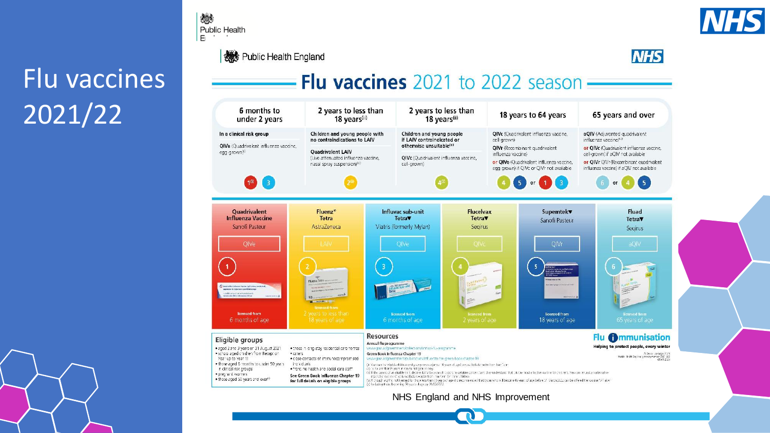## Flu vaccines 2021/22



**機** Public Health England

燃

Public Health



### Flu vaccines  $2021$  to  $2022$  season  $-$

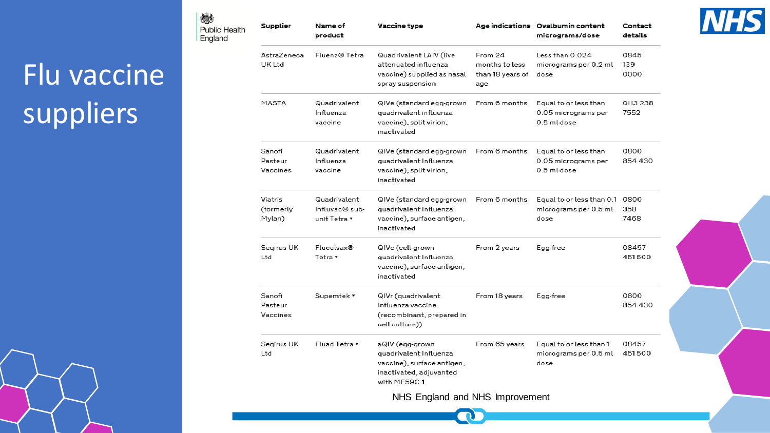# Flu vaccine suppliers

燃

| متصر<br><b>Public Health</b><br>England | Supplier                       | Name of<br>product                             | Vaccine type                                                                                                       |                                                      | Age indications Ovalbumin content<br>micrograms/dose            | Contact<br>details  |
|-----------------------------------------|--------------------------------|------------------------------------------------|--------------------------------------------------------------------------------------------------------------------|------------------------------------------------------|-----------------------------------------------------------------|---------------------|
|                                         | AstraZeneca<br>UK Ltd          | Fluenz® Tetra                                  | Quadrivalent LAIV (live<br>attenuated influenza<br>vaccine) supplied as nasal<br>spray suspension                  | From 24<br>months to less<br>than 18 years of<br>age | Less than 0.024<br>micrograms per 0.2 ml<br>dose                | 0845<br>139<br>0000 |
|                                         | MASTA                          | Quadrivalent<br>Influenza<br>vaccine           | QIVe (standard egg-grown<br>quadrivalent influenza<br>vaccine), split virion,<br>inactivated                       | From 6 months                                        | Equal to or less than<br>0.05 micrograms per<br>0.5 ml dose     | 0113 238<br>7552    |
|                                         | Sanofi<br>Pasteur<br>Vaccines  | Quadrivalent<br>Influenza<br>vaccine           | QIVe (standard egg-grown<br>quadrivalent Influenza<br>vaccine), split virion,<br>inactivated                       | From 6 months                                        | Equal to or less than<br>0.05 micrograms per<br>0.5 ml dose     | 0800<br>854 430     |
|                                         | Viatris<br>(formerly<br>Mylan) | Quadrivalent<br>Influvac® sub-<br>unit Tetra v | QIVe (standard egg-grown<br>quadrivalent Influenza<br>vaccine), surface antigen,<br>inactivated                    | From 6 months                                        | Equal to or less than 0.1 0800<br>micrograms per 0.5 ml<br>dose | 358<br>7468         |
|                                         | Segirus UK<br>Ltd              | Flucelvax®<br>Tetra v                          | QIVc (cell-grown<br>quadrivalent Influenza<br>vaccine), surface antigen,<br>inactivated                            | From 2 years                                         | Egg-free                                                        | 08457<br>451500     |
|                                         | Sanofi<br>Pasteur<br>Vaccines  | Supemtek v                                     | QIVr (quadrivalent<br>Influenza vaccine<br>(recombinant, prepared in<br>cell culture))                             | From 18 years                                        | Egg-free                                                        | 0800<br>854 430     |
|                                         | Segirus UK<br>Ltd              | Fluad Tetra v                                  | aQIV (egg-grown<br>quadrivalent Influenza<br>vaccine), surface antigen,<br>inactivated, adjuvanted<br>with MF59C.1 | From 65 years                                        | Equal to or less than 1<br>micrograms per 0.5 ml<br>dose        | 08457<br>451500     |
|                                         |                                |                                                | NHS England and NHS Improvement                                                                                    |                                                      |                                                                 |                     |

**CO** 

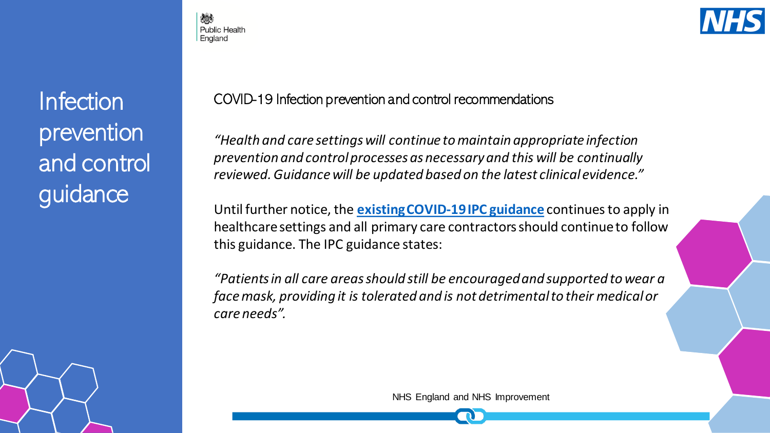Infection prevention and control guidance

**Public Health** England



COVID-19 Infection prevention and control recommendations

*"Health and care settings will continue to maintain appropriate infection prevention and control processes as necessary and this will be continually reviewed. Guidance will be updated based on the latest clinical evidence."*

Until further notice, the **[existing COVID-19 IPC guidance](https://www.gov.uk/government/publications/wuhan-novel-coronavirus-infection-prevention-and-control)** continues to apply in healthcare settings and all primary care contractors should continue to follow this guidance. The IPC guidance states:

*"Patients in all care areas should still be encouraged and supported to wear a face mask, providing it is tolerated and is not detrimental to their medical or care needs".*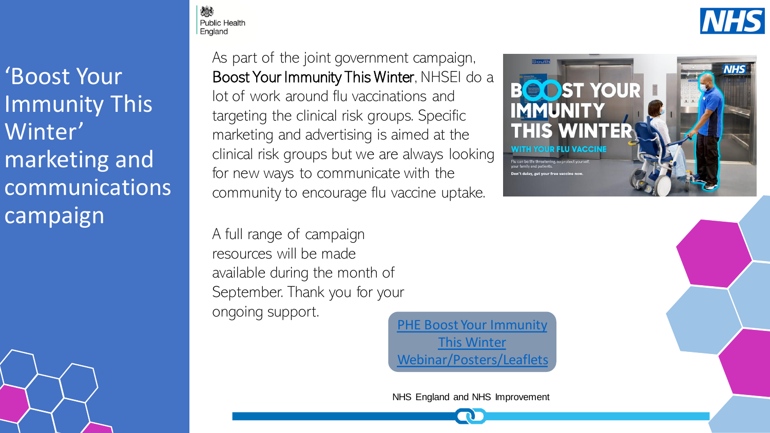'Boost Your Immunity This Winter' marketing and communications campaign

As part of the joint government campaign, Boost Your Immunity This Winter, NHSEI do a lot of work around flu vaccinations and targeting the clinical risk groups. Specific marketing and advertising is aimed at the clinical risk groups but we are always looking for new ways to communicate with the

A full range of campaign resources will be made available during the month of September. Thank you for your ongoing support.

PHE Boost Your Immunity This Winter [Webinar/Posters/Leaflets](https://campaignresources.phe.gov.uk/resources/campaigns/92-health-and-social-care-workers-winter-vaccinations-2021/resources)

NHS England and NHS Improvement







嫁 **Public Health** England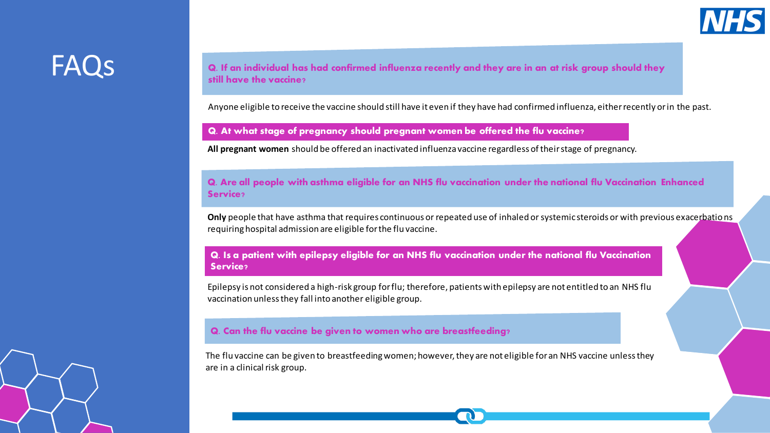

### FAQs

**Q. If an individual has had confirmed influenza recently and they are in an at risk group should they still have the vaccine?**

Anyone eligible to receive the vaccine should still have it even if they have had confirmed influenza, either recently or in the past.

**Q. At what stage of pregnancy should pregnant women be offered the flu vaccine?**

**All pregnant women** should be offered an inactivated influenza vaccine regardless of their stage of pregnancy.

**Q. Are all people with asthma eligible for an NHS flu vaccination under the national flu Vaccination Enhanced Service?** 

**Only** people that have asthma that requires continuous or repeated use of inhaled or systemic steroids or with previous exacerbations requiring hospital admission are eligible for the flu vaccine.

**Q. Is a patient with epilepsy eligible for an NHS flu vaccination under the national flu Vaccination Service?** 

Epilepsy is not considered a high-risk group for flu; therefore, patients with epilepsy are not entitled to an NHS flu vaccination unless they fall into another eligible group.

#### **Q. Can the flu vaccine be given to women who are breastfeeding?**

The flu vaccine can be given to breastfeeding women; however, they are not eligible for an NHS vaccine unless they are in a clinical risk group.